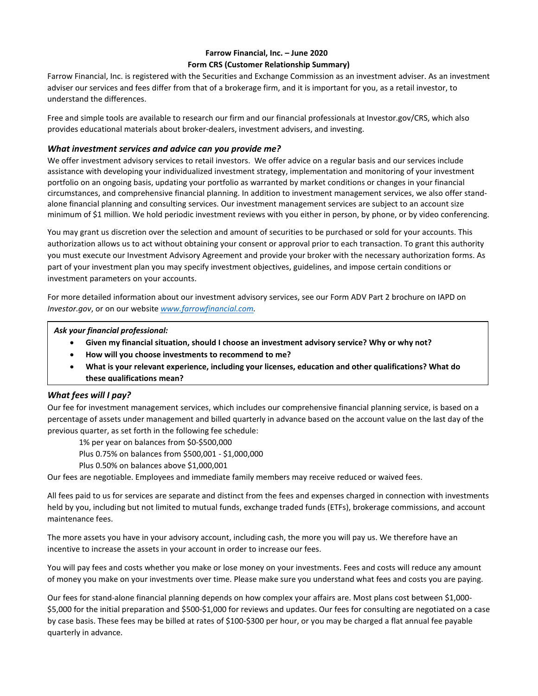# **Farrow Financial, Inc. – June 2020 Form CRS (Customer Relationship Summary)**

Farrow Financial, Inc. is registered with the Securities and Exchange Commission as an investment adviser. As an investment adviser our services and fees differ from that of a brokerage firm, and it is important for you, as a retail investor, to understand the differences.

Free and simple tools are available to research our firm and our financial professionals at Investor.gov/CRS, which also provides educational materials about broker-dealers, investment advisers, and investing.

## *What investment services and advice can you provide me?*

We offer investment advisory services to retail investors. We offer advice on a regular basis and our services include assistance with developing your individualized investment strategy, implementation and monitoring of your investment portfolio on an ongoing basis, updating your portfolio as warranted by market conditions or changes in your financial circumstances, and comprehensive financial planning. In addition to investment management services, we also offer standalone financial planning and consulting services. Our investment management services are subject to an account size minimum of \$1 million. We hold periodic investment reviews with you either in person, by phone, or by video conferencing.

You may grant us discretion over the selection and amount of securities to be purchased or sold for your accounts. This authorization allows us to act without obtaining your consent or approval prior to each transaction. To grant this authority you must execute our Investment Advisory Agreement and provide your broker with the necessary authorization forms. As part of your investment plan you may specify investment objectives, guidelines, and impose certain conditions or investment parameters on your accounts.

For more detailed information about our investment advisory services, see our Form ADV Part 2 brochure on IAPD on *Investor.gov*, or on our website *[www.farrowfinancial.com.](http://www.farrowfinancial.com/)*

*Ask your financial professional:*

- **Given my financial situation, should I choose an investment advisory service? Why or why not?**
- **How will you choose investments to recommend to me?**
- **What is your relevant experience, including your licenses, education and other qualifications? What do these qualifications mean?**

# *What fees will I pay?*

Our fee for investment management services, which includes our comprehensive financial planning service, is based on a percentage of assets under management and billed quarterly in advance based on the account value on the last day of the previous quarter, as set forth in the following fee schedule:

1% per year on balances from \$0-\$500,000

- Plus 0.75% on balances from \$500,001 \$1,000,000
- Plus 0.50% on balances above \$1,000,001

Our fees are negotiable. Employees and immediate family members may receive reduced or waived fees.

All fees paid to us for services are separate and distinct from the fees and expenses charged in connection with investments held by you, including but not limited to mutual funds, exchange traded funds (ETFs), brokerage commissions, and account maintenance fees.

The more assets you have in your advisory account, including cash, the more you will pay us. We therefore have an incentive to increase the assets in your account in order to increase our fees.

You will pay fees and costs whether you make or lose money on your investments. Fees and costs will reduce any amount of money you make on your investments over time. Please make sure you understand what fees and costs you are paying.

Our fees for stand-alone financial planning depends on how complex your affairs are. Most plans cost between \$1,000- \$5,000 for the initial preparation and \$500-\$1,000 for reviews and updates. Our fees for consulting are negotiated on a case by case basis. These fees may be billed at rates of \$100-\$300 per hour, or you may be charged a flat annual fee payable quarterly in advance.